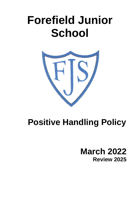# **Forefield Junior School**



## **Positive Handling Policy**

**March 2022 Review 2025**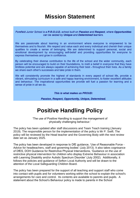## **Mission Statement**

Forefield Junior School is a P.R.O.U.D. school built on Passion and Respect, where Opportunities can be seized by Unique and Determined learners.

We are passionate about learning in an environment where everyone is empowered to be themselves and to flourish. We respect and value each and every individual and cherish their unique qualities to create a sense of belonging. We are determined to support personal, social and emotional development by encouraging self-belief and providing opportunities for everyone to express themselves and grow in confidence.

By celebrating their diverse contribution to the life of the school and the wider community, each person will be encouraged to build on their foundations, to instil a belief in everyone that they have limitless potential and are always capable of achieving their best - throughout their lives. As a family we share each other's successes and take pride in them.

We will consistently promote the highest of standards in every aspect of school life, provide a vibrant, stimulating curriculum in a safe and happy learning environment, to foster excellent attitudes and behaviour. The inspirational opportunities we provide will fuel a passion for learning and a sense of pride in all we do.

This is what makes us PROUD:

Passion, Respect, Opportunity, Unique, Determined.

## **Positive Handling Policy**

'The use of Positive Handling to support the management of physically challenging behaviour.'

The policy has been updated after staff discussions and Team Teach training (January 2019). The responsible person for the implementation of the policy is Mr P. Swift. The policy will be reviewed by the Head teacher and the Governing Body with the next review date set as January 2025.

The policy has been developed in response to DfE guidance, 'Use of Reasonable Force - Advice for headteachers, staff and governing bodies' (July 2013). It also takes cognisance of DfES, DOH Guidance for Restrictive Physical Interventions, 'Guidance on the use of restrictive physical intervention for children who display Extreme Behaviour in association with Learning Disability and/or Autistic Spectrum Disorder' (July 2002). Additionally, it follows the policies and guidance of Sefton Local Authority and will be drawn to the attention of the Local Safeguarding Children Board.

The policy has been prepared for the support of all teaching and support staff who come into contact with pupils and for volunteers working within the school to explain the school's arrangements for care and control. Its contents are available to parents and pupils. A statement about the School's Behaviour policy is made to parents in the School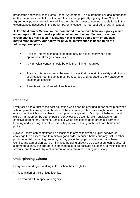prospectus and within each Home School Agreement. This statement includes information on the use of reasonable force to control or restrain pupils. By signing Home School Agreements parents are acknowledging the school's power to use reasonable force in the circumstances described in this policy. Parental consent is not required to restrain a pupil.

**At Forefield Junior School, we are committed to a positive behaviour policy which encourages children to make positive behaviour choices. On rare occasions circumstances may result in a situation that requires some form of physical intervention by staff. Our policy for physical intervention is based upon the following principles:-**

- Physical intervention should be used only as a last resort when other appropriate strategies have failed.
- Any physical contact should be only the minimum required.
- Physical intervention must be used in ways that maintain the safety and dignity of all concerned. Incidents must be recorded and reported to the Headteacher as soon as possible.
- Parents will be informed of each incident.

#### **Rationale**

Every child has a right to the best education which can be provided in partnership between school, parents/carers, the authority and the community. Staff have a right to teach in an environment which is not subject to disruption or aggression. Good pupil behaviour and skilled management by staff of pupils' behaviour are essential pre- requisites for an effective learning environment. Behaviour which challenges good order is a barrier to learning and teaching. Therefore this policy is linked closely to the school's behaviour policy.

However, there can sometimes be occasions in any school when pupils' behaviours challenge the ability of staff to maintain good order. A pupil's behaviour may disturb other pupils, may risk damaging property, or may place that pupil or others at risk of harm. Conflict and aggression can be minimised by using effective de-escalation techniques. All staff need to know the appropriate steps to take to de-escalate situations, to minimise their severity, and to avoid physical intervention or restraint becoming necessary.

#### **Underpinning values:**

Everyone attending or working in this school has a right to:

- recognition of their unique identity;
- **•** be treated with respect and dignity;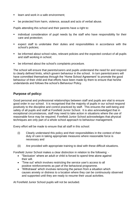- $\blacksquare$  learn and work in a safe environment:
- be protected from harm, violence, assault and acts of verbal abuse.

Pupils attending this school and their parents have a right to:

- **EXEDER** individual consideration of pupil needs by the staff who have responsibility for their care and protection;
- expect staff to undertake their duties and responsibilities in accordance with the school's policies;
- be informed about school rules, relevant policies and the expected conduct of all pupils and staff working in school;
- be informed about the school's complaints procedure.

The school will ensure that parents/carers and pupils understand the need for and respond to clearly defined limits, which govern behaviour in the school. In turn parents/carers will have committed themselves through the 'Home School Agreement' to promote the good behaviour of their child and that efforts have been made by them to ensure that he/she understands and follows the school's Behaviour Policy.

#### **Purpose of policy:**

Good personal and professional relationships between staff and pupils are vital to ensure good order in our school. It is recognised that the majority of pupils in our school respond positively to the discipline and control practiced by staff. This ensures the well-being and safety of all pupils and staff at Forefield Junior School. It is also acknowledged that in exceptional circumstances, staff may need to take action in situations where the use of reasonable force may be required. Forefield Junior School acknowledges that physical techniques are only part of a whole school approach to behaviour management.

Every effort will be made to ensure that all staff in this school:

- (i) Clearly understand this policy and their responsibilities in the context of their duty of care in taking appropriate measures where reasonable force is necessary and
- (ii) Are provided with appropriate training to deal with these difficult situations.

Forefield Junior School makes a clear distinction in relation to the following: -

- "Seclusion' where an adult or child is forced to spend time alone against their will.
- 'Time out' which involves restricting the service user's access to all positive reinforcements as part of the behavioral programme.
- 'Withdrawal' which involves removing the person from a situation which causes anxiety or distress to a location where they can be continuously observed and supported until they are ready to resume their usual activities.

At Forefield Junior School pupils will not be secluded.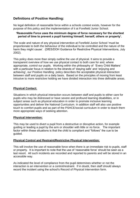#### **Definitions of Positive Handling:**

No legal definition of reasonable force within a schools context exists, however for the purpose of this policy and the implementation of it at Forefield Junior School.

#### **'Reasonable Force uses the minimum degree of force necessary for the shortest period of time to prevent a pupil harming himself, herself, others or property'.**

The scale and nature of any physical intervention at Forefield Junior School 'must be proportionate to both the behaviour of the individual to be controlled and the nature of the harm they might cause'. (DfES/DOH Guidance for Restrictive Physical Interventions, July 2002).

This policy does more than simply outline the use of physical. It aims to provide a transparent overview of how we use physical contact to both care for and, where appropriate, control our pupils. Working within the philosophy of 'Every Child Matters' with a particular focus in relation to the strands of 'staying safe' and 'enjoying and achieving', our Positive Handling policy describes the acceptable physical interaction between staff and pupils on a daily basis. Based on the principles of moving from least intrusive to more restrictive holding we have divided interaction into three definable areas.

#### **Physical Contact:**

Situations in which physical interaction occurs between staff and pupils to either care for pupils who may be distressed or have severe and profound learning disabilities, or in subject areas such as physical education in order to promote inclusive learning opportunities and deliver the National Curriculum. In addition staff will also use positive touch to comfort pupils and as part of the PSHCE/social curriculum in order to teach them more appropriate ways of seeking attention.

#### **Physical Intervention:**

This may be used to divert a pupil from a destructive or disruptive action, for example guiding or leading a pupil by the arm or shoulder with little or no force. The important factor within these situations is that the child is compliant and "follows" the cue to be guided.

#### **Physical Control and Restraint/Restrictive Physical Intervention:**

This will involve the use of reasonable force when there is an immediate risk to pupils, staff or property. It is important to note that the use of 'reasonable force' should be seen as a last resort. All such incidents are recorded and reported to parents and will be stored in an accessible way.

As indicated the level of compliance from the pupil determines whether or not the interaction is an intervention or a control/restraint. If in doubt, then staff should always record the incident using the school's Record of Physical Intervention form.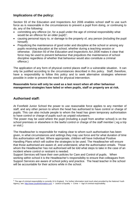#### **Implications of the policy:**

Section 93 of the Education and Inspections Act 2006 enables school staff to use such force as is reasonable in the circumstances to prevent a pupil from doing, or continuing to do, any of the following:

- committing any offence (or, for a pupil under the age of criminal responsibility what would be an offence for an older pupil)<sup>1</sup>;
- causing personal injury to, or damage to the property of, any person (including the pupil himself);
- Prejudicing the maintenance of good order and discipline at the school or among any pupils receiving education at the school, whether during a teaching session or otherwise. (Section 93 of the *Education and Inspections Act 2006* makes it clear that force may be used to prevent behaviour that prejudices the maintenance of school discipline regardless of whether that behaviour would also constitute a criminal offence.)

The application of any form of physical control places staff in a vulnerable situation. It can only be justified according to the circumstances described in this policy. Staff, therefore, have a responsibility to follow this policy and to seek alternative strategies wherever possible in order to prevent the need for physical intervention.

#### **Reasonable force will only be used as a last resort when all other behaviour management strategies have failed or when pupils, staff or property are at risk.**

#### **Authorised staff:**

1

At Forefield Junior School the power to use reasonable force applies to any member of staff, and any other person to whom the head has authorised to have control or charge of pupils. This can also include people to whom the head has given temporary authorisation to have control or charge of pupils such as unpaid volunteers.

The power may be used where the pupil (including a pupil from another school) is on the school premises or elsewhere in the lawful control or charge of the staff member ( eg a trip or visit.)

The Headteacher is responsible for making clear to whom such authorisation has been given, in what circumstances and settings they may use force and for what duration of time this authorisation will last. Where appropriate, children will have Individual Positive Handling Plans which will outline the strategies to be used. The Headteacher will ensure that those authorised are aware of, and understand, what the authorisation entails. Those whom the Headteacher has not authorised will be told what steps to take in the case of an incident where control or restraint is needed.

Support Services will have their own policies for Care and Control of pupils. When working within school it is the Headteacher's responsibility to ensure that colleagues from Support Services are aware of school policy and practice. The head teacher in the school will be accountable for their actions while in the school.

 $1$  The age of criminal responsibility is currently 10 in England. For further information (and much else) provided by the National Youth Agency, see: [http://www.youthinformation.com](http://www.youthinformation.com/) > Justice & Equality > Crime > Age of criminal responsibility.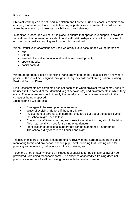#### **Principles**

Physical techniques are not used in isolation and Forefield Junior School is committed to ensuring that as a result of incidents learning opportunities are created for children that allow them to 'own' and take responsibility for their behaviour.

In addition, procedures will be put in place to ensure that appropriate support is provided for staff and that following an incident pupil/staff relationships are rebuilt and repaired to ensure that a positive learning environment is maintained.

When restrictive interventions are used we always take account of a young person's;

- age,
- gender,
- level of physical, emotional and intellectual development,
- special needs.
- social context.

Where appropriate, Positive Handling Plans are written for individual children and where possible, these will be designed through multi agency collaboration e.g. when devising Pastoral Support Plans.

Risk Assessments are completed against each child when physical restraint may need to be used in the context of the identified target behaviour(s) and environments in which they occur. The assessment should identify the benefits and the risks associated with the strategies being proposed.

Such planning will address:

- Strategies to be used prior to intervention
- Ways of avoiding 'triggers' if these are known
- Involvement of parents to ensure that they are clear about the specific action the school might need to take
- Briefing of staff to ensure they know exactly what action they should be taking (this may identify a need for training or guidance)
- Identification of additional support that can be summoned if appropriate
- The school's duty of care to all pupils and staff

Training in this area includes a comprehensive review of the agreed standard incident monitoring forms and any school-specific pupil level recording that is being used for planning and evaluating behaviour modification strategies.

Teachers or other staff whose job includes responsibility for pupils cannot lawfully be prevented from using reasonable force. The absence of accredited training does not preclude a member of staff from using reasonable force when needed.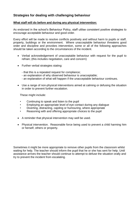#### **Strategies for dealing with challenging behaviour**

#### **What staff will do before and during any physical intervention:**

As endorsed in the school's Behaviour Policy, staff utilise consistent positive strategies to encourage acceptable behaviour and good order.

Every effort will be made to resolve conflicts positively and without harm to pupils or staff, property, buildings or the environment. Where unacceptable behaviour threatens good order and discipline and provokes intervention, some or all of the following approaches should be taken according to the circumstances of the incident.

- Verbal acknowledgement of unacceptable behaviour with request for the pupil to refrain; (this includes negotiation, care and concern)
- Further verbal strategies stating:
	- that this is a repeated request for compliance;
	- an explanation of why observed behaviour is unacceptable;
	- an explanation of what will happen if the unacceptable behaviour continues.
- Use a range of non-physical interventions aimed at calming or defusing the situation in order to prevent further escalation.

These might include:

- Continuing to speak and listen to the pupil
- Employing an appropriate level of eye contact during any dialogue
- Diverting, distracting, cajoling or humouring, where appropriate
- Reasoning with and offering appropriate choices to the pupil
- A reminder that physical intervention may well be used.
- Physical intervention. Reasonable force being used to prevent a child harming him or herself, others or property.

Sometimes it might be more appropriate to remove other pupils from the classroom whilst waiting for help. The teacher should inform the pupil that he or she has sent for help. Until assistance arrives the teacher should continue to attempt to defuse the situation orally and try to prevent the incident from escalating.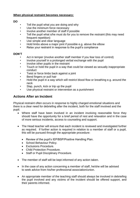#### **When physical restraint becomes necessary:**

**DO**

- Tell the pupil what you are doing and why
- Use the minimum force necessary
- Involve another member of staff if possible
- Tell the pupil what s/he must do for you to remove the restraint (this may need frequent repetition)
- Use simple and clear language
- Hold limbs above a major joint if possible e.g. above the elbow
- Relax your restraint in response to the pupil's compliance

#### **DON'T**

- Act in temper (involve another staff member if you fear loss of control)
- Involve yourself in a prolonged verbal exchange with the pupil
- Involve other pupils in the restraint
- Touch or hold the pupil in a way that could be viewed as sexually inappropriate conduct
- Twist or force limbs back against a joint
- Bend fingers or pull hair
- Hold the pupil in a way which will restrict blood flow or breathing e.g. around the neck
- Slap, punch, kick or trip up the pupil
- Use physical restraint or intervention as a punishment

#### **Actions After an Incident**

Physical restraint often occurs in response to highly charged emotional situations and there is a clear need for debriefing after the incident, both for the staff involved and the pupil.

- Where staff have been involved in an incident involving reasonable force they should have the opportunity for a brief period of rest and relaxation and in the case of more serious incidents, access to counseling and support.
- The Head teacher will ensure that each incident is reviewed and investigated further as required. If further action is required in relation to a member of staff or a pupil, this will be pursued through the appropriate procedure:
	- Review of the pupil's IEP/BSP/Positive Handling Plan.
	- School Behaviour Policy.
	- Exclusions Procedure.
	- Child Protection Procedure.
	- Staff or Pupil Disciplinary Procedure.
- The member of staff will be kept informed of any action taken.
- In the case of any action concerning a member of staff, he/she will be advised to seek advice from his/her professional association/union.
- An appropriate member of the teaching staff should always be involved in debriefing the pupil involved and any victims of the incident should be offered support, and their parents informed.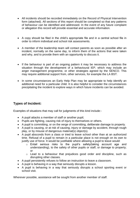- All incidents should be recorded immediately on the Record of Physical Intervention form (attached). All sections of this report should be completed so that any patterns of behaviour can be identified and addressed. In the event of any future complaint or allegation this record will provide essential and accurate information.
- A copy should be filed in the child's appropriate file and in a central school file in order to inform individual and school risk assessments.
- A member of the leadership team will contact parents as soon as possible after an incident, normally on the same day, to inform them of the actions that were taken and why, and to provide them with an opportunity to discuss it.
- If the behaviour is part of an ongoing pattern it may be necessary to address the situation through the development of a behavioural IEP, which may include an anger management programme, or other strategies agreed by the SENCO. This may require additional support from, other services, for example the LA BST.
- In some circumstances an Early Help Plan may be appropriate to help identify an additional need for a particular child. It is also helpful to consider the circumstances precipitating the incident to explore ways in which future incidents can be avoided.

#### **Types of Incident:**

Examples of situations that may call for judgments of this kind include:-

- A pupil attacks a member of staff or another pupil;
- Pupils are fighting, causing risk of injury to themselves or others.
- A pupil is committing, or on the verge of committing, deliberate damage to property.
- A pupil is causing, or at risk of causing, injury or damage by accident, through rough play, or by misuse of dangerous material(s) object(s).
- A pupil absconds from a class or tried to leave school other than at an authorized time. Refusal of a pupil to remain in a particular place is not enough on its own to justify use of force. It would be justifiable where allowing a pupil to leave would:
	- o Entail serious risks to the pupil's safety(taking account age and understanding), to the safety of other pupils or staff, or damage to property; or
	- o Lead to a behaviour that prejudices good order and discipline, such as disrupting other classes.
- A pupil persistently refuses to follow an instruction to leave a classroom.
- A pupil is behaving in a way that seriously disrupts a lesson.
- A pupil is behaving in a way that seriously disrupts a school sporting event or school visit.

Wherever possible, assistance will be sought from another member of staff.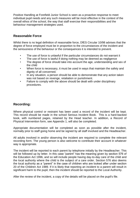Positive Handling at Forefield Junior School is seen as a proactive response to meet individual pupil needs and any such measures will be most effective in the context of the overall ethos of the school, the way that staff exercise their responsibilities and the behaviour management strategies used.

#### **Reasonable Force**

Whilst there is no legal definition of reasonable force, DfES Circular 10/98 advises that the degree of force employed must be in proportion to the circumstances of the incident and the seriousness of the behaviour or the consequences it is intended to prevent.

- The use of force is unlawful if the particular circumstances do not warrant it
- The use of force is lawful if doing nothing may be deemed as negligence
- The degree of force should take into account the age, understanding and sex of the child
- When force is necessary, it must be used in ways that maintain the safety and dignity of all concerned.
- In any situation, a person should be able to demonstrate that any action taken was not based on revenge, retaliation or punishment.
- Failure to comply with the above should be dealt with under disciplinary procedures.

#### **Recording:**

Where physical control or restraint has been used a record of the incident will be kept. This record should be made in the school Serious Incident Book. This is a hard-backed book, with numbered pages, retained by the Head teacher. In addition, a Record of Physical Intervention form, see Appendix 1, will also be completed.

Appropriate documentation will be completed as soon as possible after the incident, normally prior to staff going home and be signed by all staff involved and the Headteacher.

All adults involved in and/or observing the incident are required to complete the relevant recording form. The young person is also welcome to contribute their account in whatever way is appropriate.

The incident will be reported to each parent by telephone initially by the Headteacher. This will be followed up by letter. In this case "parent" has the meaning given by section 576 of the Education Act 1996, and so will include people having day-to-day care of the child and the local authority where the child is the subject of a care order. Section 576 also deems the local authority as a "parent" in the case of children who are looked after under section 20 of the Children Act 1989. If it is likely that reporting an incident to a parent will result in significant harm to the pupil, then the incident should be reported to the Local Authority.

After the review of the incident, a copy of the details will be placed on the pupil's file.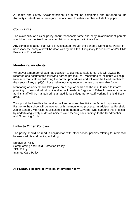A Health and Safety Accident/Incident Form will be completed and returned to the Authority in situations where injury has occurred to either members of staff or pupils.

#### **Complaints:**

The availability of a clear policy about reasonable force and early involvement of parents should reduce the likelihood of complaints but may not eliminate them.

Any complaints about staff will be investigated through the School's Complaints Policy. If necessary the complaint will be dealt with by the Staff Disciplinary Procedures and/or Child Protection Procedures.

#### **Monitoring incidents:**

Whenever a member of staff has occasion to use reasonable force, this will always be recorded and documented following agreed procedures. Monitoring of incidents will help to ensure that staff are following the correct procedures and will alert the Head teacher to the needs of any pupil(s) whose behaviour may require the use of reasonable force.

Monitoring of incidents will take place on a regular basis and the results used to inform planning to meet individual pupil and school needs. A Register of False Accusations made against staff will be maintained as an additional safeguard for staff working in this difficult area.

To support the Headteacher and school and ensure objectivity the School Improvement Partner to the school will be involved with the monitoring process. In addition, at Forefield Junior School , Mrs Victoria Ellis Jones is the named Governor who supports this process by undertaking termly audits of incidents and feeding back findings to the Headteacher and Governing Body.

#### **Links to Other Policies**

The policy should be read in conjunction with other school policies relating to interaction between adults and pupils, including

Behaviour Policy Safeguarding and Child Protection Policy SEN Policy Intimate Care Policy

**APPENDIX 1 Record of Physical Intervention form**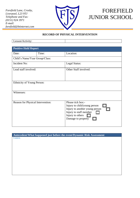*Forefield Lane, Crosby, Liverpool, L23 9TJ Telephone and Fax: (0151) 924 3971 E-mail: forefield@btinternet.com*



## FOREFIELD JUNIOR SCHOOL

#### **RECORD OF PHYSICAL INTERVENTION**

| Lesson/Activity:                  |                             |                                        |  |  |
|-----------------------------------|-----------------------------|----------------------------------------|--|--|
|                                   |                             |                                        |  |  |
|                                   | <b>Positive Hold Report</b> |                                        |  |  |
| Date:                             | Time:                       | Location:                              |  |  |
| Child's Name/Year Group/Class:    |                             |                                        |  |  |
| Incident No:                      |                             | Legal Status:                          |  |  |
| Lead staff involved:              |                             | Other Staff involved:                  |  |  |
|                                   |                             |                                        |  |  |
|                                   |                             |                                        |  |  |
|                                   | Ethnicity of Young Person:  |                                        |  |  |
|                                   |                             |                                        |  |  |
| Witnesses:                        |                             |                                        |  |  |
|                                   |                             |                                        |  |  |
| Reason for Physical Intervention: |                             | Please tick box:-                      |  |  |
|                                   |                             | Injury to child/young person           |  |  |
|                                   |                             | Injury to another young person         |  |  |
|                                   |                             | Injury to staff member                 |  |  |
|                                   |                             | Injury to others<br>Damage to property |  |  |
|                                   |                             |                                        |  |  |
|                                   |                             |                                        |  |  |

**Antecedent/What happened just before the event/Dynamic Risk Assessment** Context.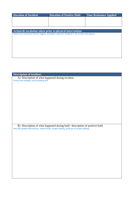| <b>Duration of Incident</b>                                | <b>Duration of Positive Hold</b> | <b>Time Resistance Applied</b> |  |  |
|------------------------------------------------------------|----------------------------------|--------------------------------|--|--|
|                                                            |                                  |                                |  |  |
|                                                            |                                  |                                |  |  |
|                                                            |                                  |                                |  |  |
|                                                            |                                  |                                |  |  |
| Action/de-escalation taken prior to physical intervention: |                                  |                                |  |  |

Behaviours presented, Known triggers, Strategies/responses designed to de-escalate and support.

#### **Description of incident:**  A) Description of what happened during incident – Events and strategies used including RPI

B) Description of what happened during hold / description of positive hold Describe graded interventions, Named holds, People holding, positions of people holding: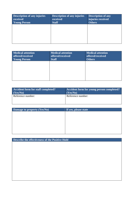| Description of any injuries<br>received<br><b>Young Person</b> | <b>Description of any injuries</b><br>received<br><b>Staff</b> | <b>Description of any</b><br>injuries received<br><b>Others</b> |
|----------------------------------------------------------------|----------------------------------------------------------------|-----------------------------------------------------------------|
|                                                                |                                                                |                                                                 |
|                                                                |                                                                |                                                                 |

| Medical attention<br>offered/received<br><b>Young Person</b> | <b>Medical attention</b><br>offered/received<br><b>Staff</b> | Medical attention<br>offered/received<br><b>Others</b> |
|--------------------------------------------------------------|--------------------------------------------------------------|--------------------------------------------------------|
|                                                              |                                                              |                                                        |
|                                                              |                                                              |                                                        |

| <b>Accident form for staff completed?</b> | Accident form for young person completed? |
|-------------------------------------------|-------------------------------------------|
| (Yes/No)                                  | (Yes/No)                                  |
| Reference number:                         | Reference number:                         |

| Damage to property (Yes/No) | If yes, please state |
|-----------------------------|----------------------|
|                             |                      |
|                             |                      |
|                             |                      |
|                             |                      |
|                             |                      |
|                             |                      |

| Describe the effectiveness of the Positive Hold |  |  |
|-------------------------------------------------|--|--|
|                                                 |  |  |
|                                                 |  |  |
|                                                 |  |  |
|                                                 |  |  |
|                                                 |  |  |
|                                                 |  |  |
|                                                 |  |  |
|                                                 |  |  |
|                                                 |  |  |
|                                                 |  |  |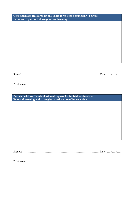| Consequences: Has a repair and share form been completed? (Yes/No)<br>Details of repair and share/points of learning. |  |  |
|-----------------------------------------------------------------------------------------------------------------------|--|--|
|                                                                                                                       |  |  |
|                                                                                                                       |  |  |
|                                                                                                                       |  |  |
|                                                                                                                       |  |  |
|                                                                                                                       |  |  |
|                                                                                                                       |  |  |
|                                                                                                                       |  |  |

| $\sim$ |  |  |
|--------|--|--|
|        |  |  |

Print name: ……………………………………………………………….

**De-brief with staff and collation of reports for individuals involved. Points of learning and strategies to reduce use of intervention.**

Signed: ……………………………………………………………………… Date: …../…../…..

Print name: ……………………………………………………………….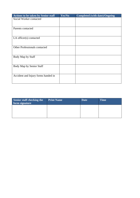| Actions to be taken by Senior staff | Yes/No | <b>Completed (with date)/Ongoing</b> |
|-------------------------------------|--------|--------------------------------------|
| Social Worker contacted             |        |                                      |
|                                     |        |                                      |
|                                     |        |                                      |
| Parents contacted                   |        |                                      |
|                                     |        |                                      |
| LA officer(s) contacted             |        |                                      |
|                                     |        |                                      |
|                                     |        |                                      |
| Other Professionals contacted       |        |                                      |
|                                     |        |                                      |
|                                     |        |                                      |
| Body Map by Staff                   |        |                                      |
|                                     |        |                                      |
| Body Map by Senior Staff            |        |                                      |
|                                     |        |                                      |
|                                     |        |                                      |
| Accident and Injury forms handed in |        |                                      |
|                                     |        |                                      |
|                                     |        |                                      |

| Senior staff checking the<br>form signature | <b>Print Name</b> | <b>Date</b> | <b>Time</b> |
|---------------------------------------------|-------------------|-------------|-------------|
|                                             |                   |             |             |
|                                             |                   |             |             |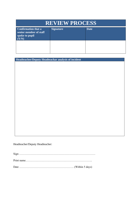| <b>REVIEW PROCESS</b>                                                         |                  |             |  |
|-------------------------------------------------------------------------------|------------------|-------------|--|
| <b>Confirmation that a</b><br>senior member of staff<br>spoke to pupil<br>Y/N | <b>Signature</b> | <b>Date</b> |  |
|                                                                               |                  |             |  |

**Headteacher/Deputy Headteachar analysis of incident**

Headteacher/Deputy Headteacher:

Sign ……………………………………………………………………… Print name…………………………………………………………….. Date …………………………………………………. (Within 5 days)